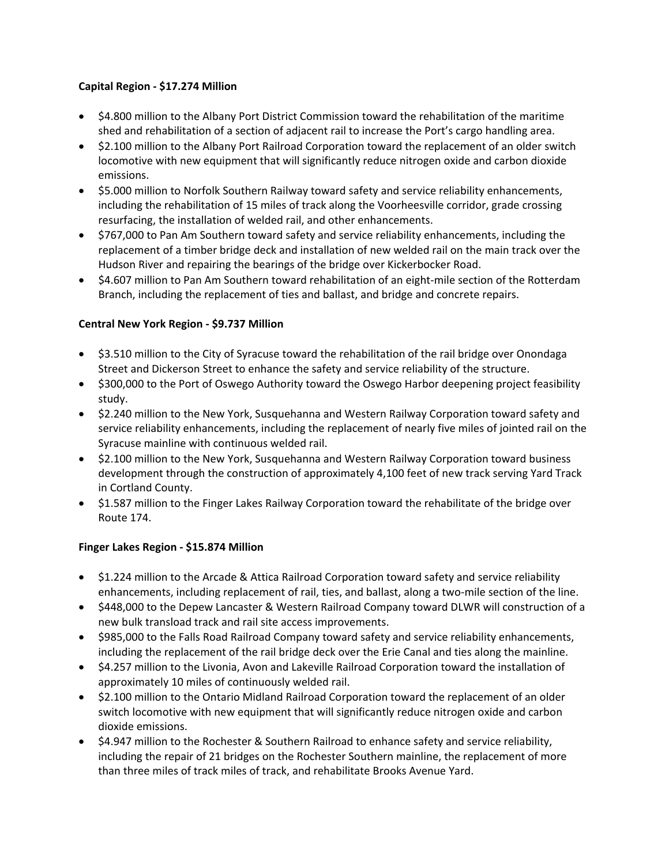### **Capital Region - \$17.274 Million**

- \$4.800 million to the Albany Port District Commission toward the rehabilitation of the maritime shed and rehabilitation of a section of adjacent rail to increase the Port's cargo handling area.
- \$2.100 million to the Albany Port Railroad Corporation toward the replacement of an older switch locomotive with new equipment that will significantly reduce nitrogen oxide and carbon dioxide emissions.
- \$5.000 million to Norfolk Southern Railway toward safety and service reliability enhancements, including the rehabilitation of 15 miles of track along the Voorheesville corridor, grade crossing resurfacing, the installation of welded rail, and other enhancements.
- \$767,000 to Pan Am Southern toward safety and service reliability enhancements, including the replacement of a timber bridge deck and installation of new welded rail on the main track over the Hudson River and repairing the bearings of the bridge over Kickerbocker Road.
- \$4.607 million to Pan Am Southern toward rehabilitation of an eight-mile section of the Rotterdam Branch, including the replacement of ties and ballast, and bridge and concrete repairs.

# **Central New York Region - \$9.737 Million**

- \$3.510 million to the City of Syracuse toward the rehabilitation of the rail bridge over Onondaga Street and Dickerson Street to enhance the safety and service reliability of the structure.
- \$300,000 to the Port of Oswego Authority toward the Oswego Harbor deepening project feasibility study.
- \$2.240 million to the New York, Susquehanna and Western Railway Corporation toward safety and service reliability enhancements, including the replacement of nearly five miles of jointed rail on the Syracuse mainline with continuous welded rail.
- \$2.100 million to the New York, Susquehanna and Western Railway Corporation toward business development through the construction of approximately 4,100 feet of new track serving Yard Track in Cortland County.
- \$1.587 million to the Finger Lakes Railway Corporation toward the rehabilitate of the bridge over Route 174.

# **Finger Lakes Region - \$15.874 Million**

- \$1.224 million to the Arcade & Attica Railroad Corporation toward safety and service reliability enhancements, including replacement of rail, ties, and ballast, along a two-mile section of the line.
- \$448,000 to the Depew Lancaster & Western Railroad Company toward DLWR will construction of a new bulk transload track and rail site access improvements.
- \$985,000 to the Falls Road Railroad Company toward safety and service reliability enhancements, including the replacement of the rail bridge deck over the Erie Canal and ties along the mainline.
- \$4.257 million to the Livonia, Avon and Lakeville Railroad Corporation toward the installation of approximately 10 miles of continuously welded rail.
- \$2.100 million to the Ontario Midland Railroad Corporation toward the replacement of an older switch locomotive with new equipment that will significantly reduce nitrogen oxide and carbon dioxide emissions.
- \$4.947 million to the Rochester & Southern Railroad to enhance safety and service reliability, including the repair of 21 bridges on the Rochester Southern mainline, the replacement of more than three miles of track miles of track, and rehabilitate Brooks Avenue Yard.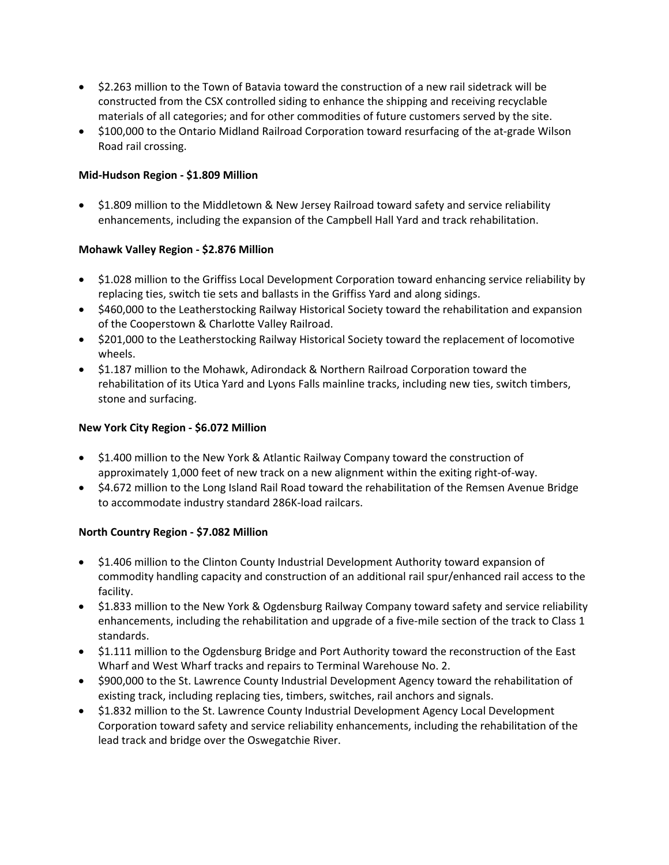- \$2.263 million to the Town of Batavia toward the construction of a new rail sidetrack will be constructed from the CSX controlled siding to enhance the shipping and receiving recyclable materials of all categories; and for other commodities of future customers served by the site.
- \$100,000 to the Ontario Midland Railroad Corporation toward resurfacing of the at-grade Wilson Road rail crossing.

### **Mid-Hudson Region - \$1.809 Million**

• \$1.809 million to the Middletown & New Jersey Railroad toward safety and service reliability enhancements, including the expansion of the Campbell Hall Yard and track rehabilitation.

### **Mohawk Valley Region - \$2.876 Million**

- \$1.028 million to the Griffiss Local Development Corporation toward enhancing service reliability by replacing ties, switch tie sets and ballasts in the Griffiss Yard and along sidings.
- \$460,000 to the Leatherstocking Railway Historical Society toward the rehabilitation and expansion of the Cooperstown & Charlotte Valley Railroad.
- \$201,000 to the Leatherstocking Railway Historical Society toward the replacement of locomotive wheels.
- \$1.187 million to the Mohawk, Adirondack & Northern Railroad Corporation toward the rehabilitation of its Utica Yard and Lyons Falls mainline tracks, including new ties, switch timbers, stone and surfacing.

### **New York City Region - \$6.072 Million**

- \$1.400 million to the New York & Atlantic Railway Company toward the construction of approximately 1,000 feet of new track on a new alignment within the exiting right-of-way.
- \$4.672 million to the Long Island Rail Road toward the rehabilitation of the Remsen Avenue Bridge to accommodate industry standard 286K-load railcars.

# **North Country Region - \$7.082 Million**

- \$1.406 million to the Clinton County Industrial Development Authority toward expansion of commodity handling capacity and construction of an additional rail spur/enhanced rail access to the facility.
- \$1.833 million to the New York & Ogdensburg Railway Company toward safety and service reliability enhancements, including the rehabilitation and upgrade of a five-mile section of the track to Class 1 standards.
- \$1.111 million to the Ogdensburg Bridge and Port Authority toward the reconstruction of the East Wharf and West Wharf tracks and repairs to Terminal Warehouse No. 2.
- \$900,000 to the St. Lawrence County Industrial Development Agency toward the rehabilitation of existing track, including replacing ties, timbers, switches, rail anchors and signals.
- \$1.832 million to the St. Lawrence County Industrial Development Agency Local Development Corporation toward safety and service reliability enhancements, including the rehabilitation of the lead track and bridge over the Oswegatchie River.